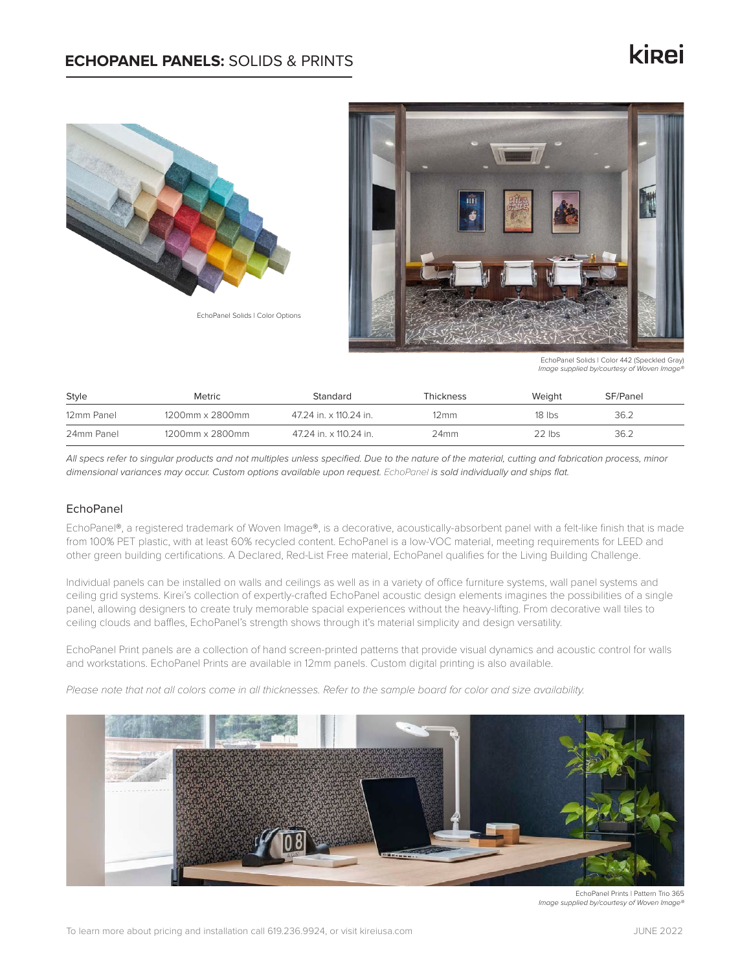# kinei



EchoPanel Solids | Color Options



EchoPanel Solids | Color 442 (Speckled Gray) *Image supplied by/courtesy of Woven Image®*

| Style      | Metric          | Standard               | Thickness | Weight   | SF/Panel |  |
|------------|-----------------|------------------------|-----------|----------|----------|--|
| 12mm Panel | 1200mm x 2800mm | 47.24 in. x 110.24 in. | 12mm      | $18$ lbs | 36.2     |  |
| 24mm Panel | 1200mm x 2800mm | 47.24 in. x 110.24 in. | 24mm      | $22$ lbs | 36.2     |  |

*All specs refer to singular products and not multiples unless specified. Due to the nature of the material, cutting and fabrication process, minor dimensional variances may occur. Custom options available upon request.* EchoPanel *is sold individually and ships flat.*

### EchoPanel

EchoPanel®, a registered trademark of Woven Image®, is a decorative, acoustically-absorbent panel with a felt-like finish that is made from 100% PET plastic, with at least 60% recycled content. EchoPanel is a low-VOC material, meeting requirements for LEED and other green building certifications. A Declared, Red-List Free material, EchoPanel qualifies for the Living Building Challenge.

Individual panels can be installed on walls and ceilings as well as in a variety of office furniture systems, wall panel systems and ceiling grid systems. Kirei's collection of expertly-crafted EchoPanel acoustic design elements imagines the possibilities of a single panel, allowing designers to create truly memorable spacial experiences without the heavy-lifting. From decorative wall tiles to ceiling clouds and baffles, EchoPanel's strength shows through it's material simplicity and design versatility.

EchoPanel Print panels are a collection of hand screen-printed patterns that provide visual dynamics and acoustic control for walls and workstations. EchoPanel Prints are available in 12mm panels. Custom digital printing is also available.

Please note that not all colors come in all thicknesses. Refer to the sample board for color and size availability.



EchoPanel Prints | Pattern Trio 365 *Image supplied by/courtesy of Woven Image®*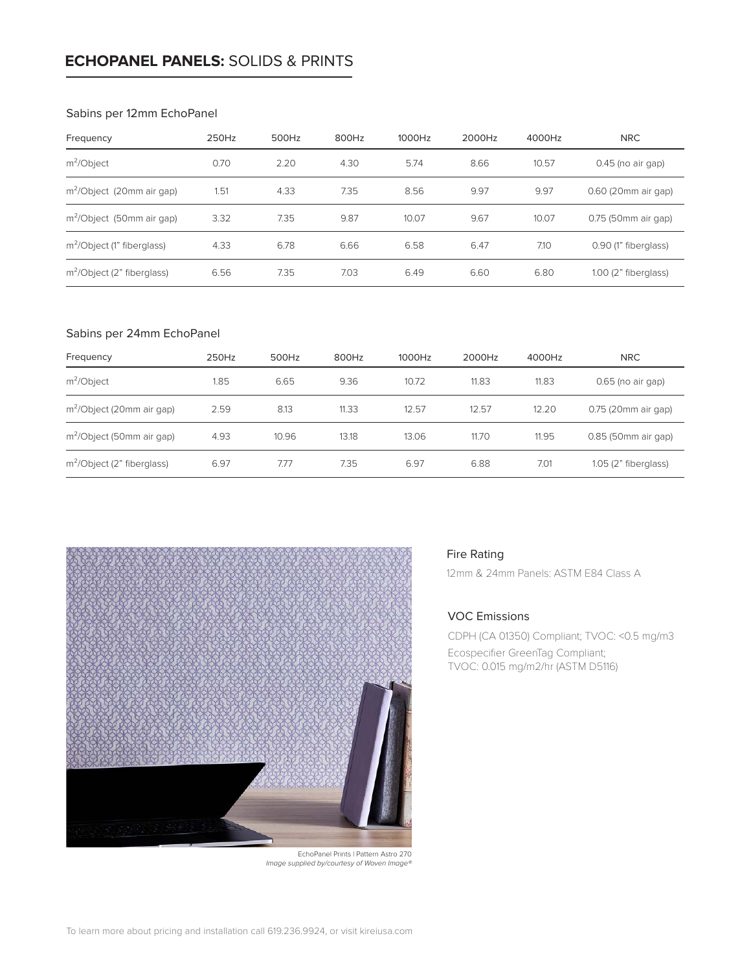### **ECHOPANEL PANELS:** SOLIDS & PRINTS

#### Sabins per 12mm EchoPanel

| Frequency                             | 250Hz | 500Hz | 800Hz | 1000Hz | 2000Hz | 4000Hz | <b>NRC</b>             |  |
|---------------------------------------|-------|-------|-------|--------|--------|--------|------------------------|--|
| $m^2$ Object                          | 0.70  | 2.20  | 4.30  | 5.74   | 8.66   | 10.57  | $0.45$ (no air gap)    |  |
| m <sup>2</sup> /Object (20mm air gap) | 1.51  | 4.33  | 7.35  | 8.56   | 9.97   | 9.97   | 0.60 (20mm air gap)    |  |
| m <sup>2</sup> /Object (50mm air gap) | 3.32  | 7.35  | 9.87  | 10.07  | 9.67   | 10.07  | 0.75 (50mm air gap)    |  |
| $m^2$ /Object (1" fiberglass)         | 4.33  | 6.78  | 6.66  | 6.58   | 6.47   | 7.10   | 0.90 (1" fiberglass)   |  |
| $m^2$ Object (2" fiberglass)          | 6.56  | 7.35  | 7.03  | 6.49   | 6.60   | 6.80   | $1.00$ (2" fiberglass) |  |

#### Sabins per 24mm EchoPanel

| Frequency                             | 250Hz | 500Hz | 800Hz | 1000Hz | 2000Hz | 4000Hz | <b>NRC</b>            |
|---------------------------------------|-------|-------|-------|--------|--------|--------|-----------------------|
| $m^2$ <i>Object</i>                   | 1.85  | 6.65  | 9.36  | 10.72  | 11.83  | 11.83  | $0.65$ (no air gap)   |
| m <sup>2</sup> /Object (20mm air gap) | 2.59  | 8.13  | 11.33 | 12.57  | 12.57  | 12.20  | 0.75 (20mm air gap)   |
| m <sup>2</sup> /Object (50mm air gap) | 4.93  | 10.96 | 13.18 | 13.06  | 11.70  | 11.95  | 0.85 (50mm air gap)   |
| $m^2$ /Object (2" fiberglass)         | 6.97  | 7.77  | 7.35  | 6.97   | 6.88   | 7.01   | $1.05(2"$ fiberglass) |



### Fire Rating

12mm & 24mm Panels: ASTM E84 Class A

### VOC Emissions

CDPH (CA 01350) Compliant; TVOC: <0.5 mg/m3 Ecospecifier GreenTag Compliant; TVOC: 0.015 mg/m2/hr (ASTM D5116)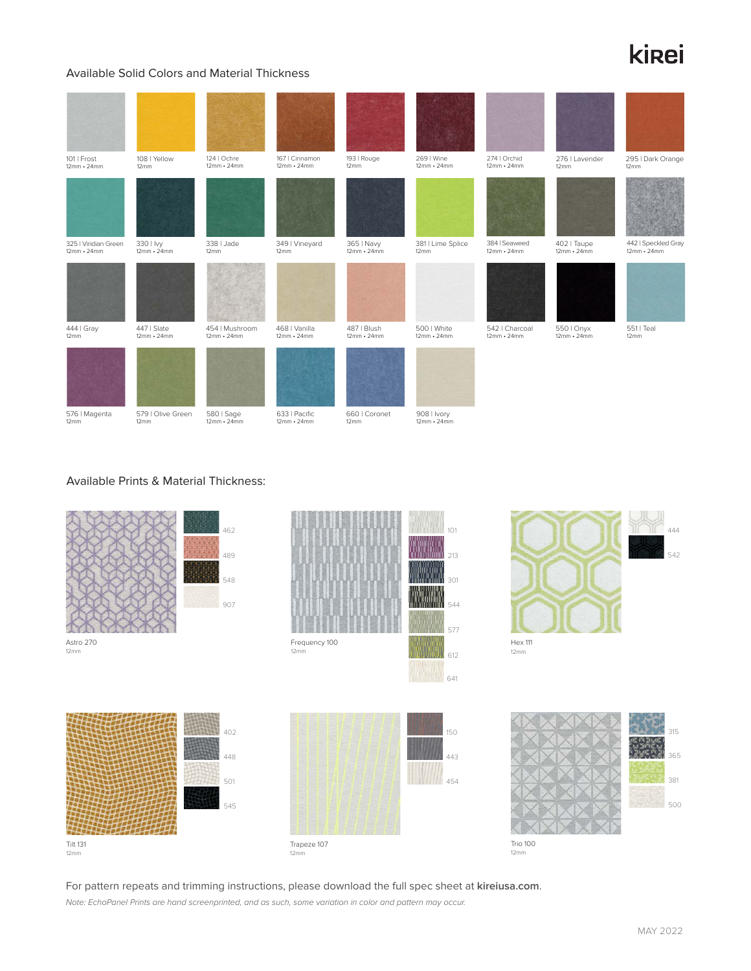# **ki**<sub>ei</sub>

### Available Solid Colors and Material Thickness

| 101   Frost<br>$12mm \cdot 24mm$          | 108   Yellow<br>12mm             | 124   Ochre<br>$12mm \cdot 24mm$    | 167   Cinnamon<br>$12mm \cdot 24mm$ | 193   Rouge<br>12mm              | 269   Wine<br>$12mm \cdot 24mm$  | 274   Orchid<br>$12mm \cdot 24mm$   | 276   Lavender<br>12mm           | 295   Dark Orange<br>12mm                |
|-------------------------------------------|----------------------------------|-------------------------------------|-------------------------------------|----------------------------------|----------------------------------|-------------------------------------|----------------------------------|------------------------------------------|
|                                           |                                  |                                     |                                     |                                  |                                  |                                     |                                  |                                          |
| 325   Viridian Green<br>$12mm \cdot 24mm$ | 330   Ivy<br>$12mm \cdot 24mm$   | 338   Jade<br>12mm                  | 349   Vineyard<br>12mm              | 365   Navy<br>$12mm \cdot 24mm$  | 381   Lime Splice<br>12mm        | 384   Seaweed<br>$12mm \cdot 24mm$  | 402   Taupe<br>$12mm \cdot 24mm$ | 442   Speckled Gray<br>$12mm \cdot 24mm$ |
|                                           |                                  |                                     |                                     |                                  |                                  |                                     |                                  |                                          |
| 444   Gray<br>12mm                        | 447   Slate<br>$12mm \cdot 24mm$ | 454   Mushroom<br>$12mm \cdot 24mm$ | 468   Vanilla<br>$12mm \cdot 24mm$  | 487   Blush<br>$12mm \cdot 24mm$ | 500   White<br>$12mm \cdot 24mm$ | 542   Charcoal<br>$12mm \cdot 24mm$ | 550   Onyx<br>$12mm \cdot 24mm$  | 551   Teal<br>12mm                       |
|                                           |                                  |                                     |                                     |                                  |                                  |                                     |                                  |                                          |
| 576   Magenta<br>12mm                     | 579   Olive Green<br>12mm        | 580   Sage<br>$12mm \cdot 24mm$     | 633   Pacific<br>$12mm \cdot 24mm$  | 660   Coronet<br>12mm            | 908   Ivory<br>$12mm \cdot 24mm$ |                                     |                                  |                                          |

### Available Prints & Material Thickness:



For pattern repeats and trimming instructions, please download the full spec sheet at **kireiusa.com**. *Note: EchoPanel Prints are hand screenprinted, and as such, some variation in color and pattern may occur.*